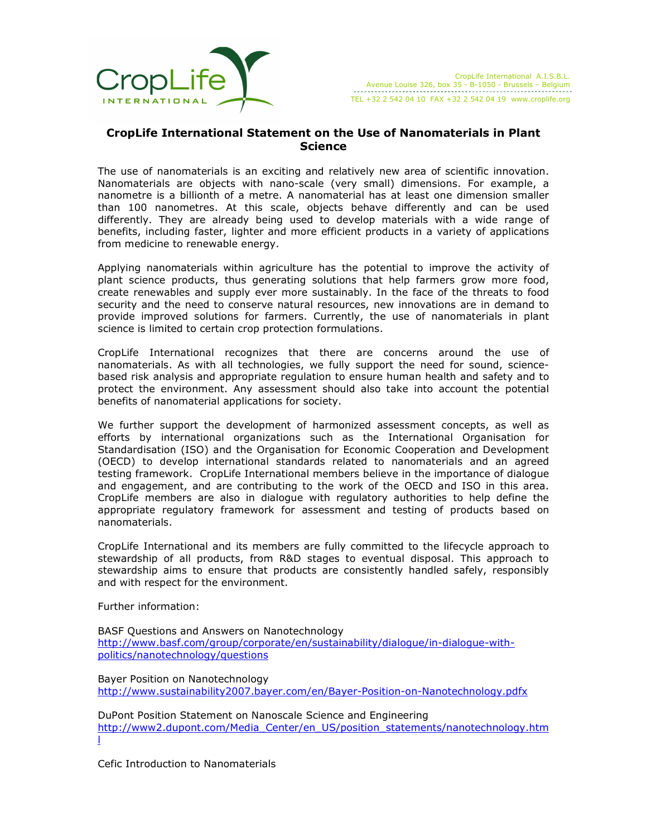

## CropLife International Statement on the Use of Nanomaterials in Plant **Science**

The use of nanomaterials is an exciting and relatively new area of scientific innovation. Nanomaterials are objects with nano-scale (very small) dimensions. For example, a nanometre is a billionth of a metre. A nanomaterial has at least one dimension smaller than 100 nanometres. At this scale, objects behave differently and can be used differently. They are already being used to develop materials with a wide range of benefits, including faster, lighter and more efficient products in a variety of applications from medicine to renewable energy.

Applying nanomaterials within agriculture has the potential to improve the activity of plant science products, thus generating solutions that help farmers grow more food, create renewables and supply ever more sustainably. In the face of the threats to food security and the need to conserve natural resources, new innovations are in demand to provide improved solutions for farmers. Currently, the use of nanomaterials in plant science is limited to certain crop protection formulations.

CropLife International recognizes that there are concerns around the use of nanomaterials. As with all technologies, we fully support the need for sound, sciencebased risk analysis and appropriate regulation to ensure human health and safety and to protect the environment. Any assessment should also take into account the potential benefits of nanomaterial applications for society.

We further support the development of harmonized assessment concepts, as well as efforts by international organizations such as the International Organisation for Standardisation (ISO) and the Organisation for Economic Cooperation and Development (OECD) to develop international standards related to nanomaterials and an agreed testing framework. CropLife International members believe in the importance of dialogue and engagement, and are contributing to the work of the OECD and ISO in this area. CropLife members are also in dialogue with regulatory authorities to help define the appropriate regulatory framework for assessment and testing of products based on nanomaterials.

CropLife International and its members are fully committed to the lifecycle approach to stewardship of all products, from R&D stages to eventual disposal. This approach to stewardship aims to ensure that products are consistently handled safely, responsibly and with respect for the environment.

Further information:

BASF Questions and Answers on Nanotechnology http://www.basf.com/group/corporate/en/sustainability/dialogue/in-dialogue-withpolitics/nanotechnology/questions

Bayer Position on Nanotechnology http://www.sustainability2007.bayer.com/en/Bayer-Position-on-Nanotechnology.pdfx

DuPont Position Statement on Nanoscale Science and Engineering http://www2.dupont.com/Media\_Center/en\_US/position\_statements/nanotechnology.htm l

Cefic Introduction to Nanomaterials